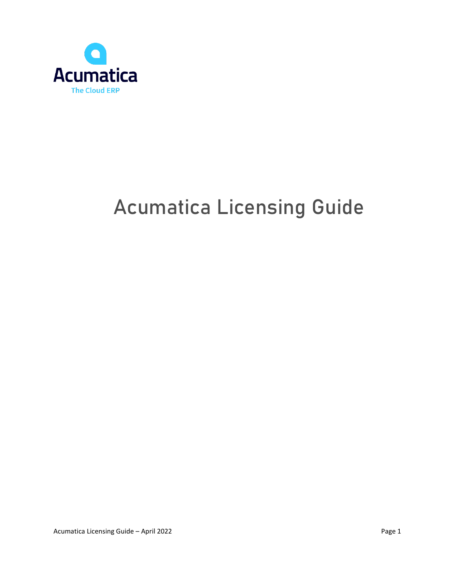

# **Acumatica Licensing Guide**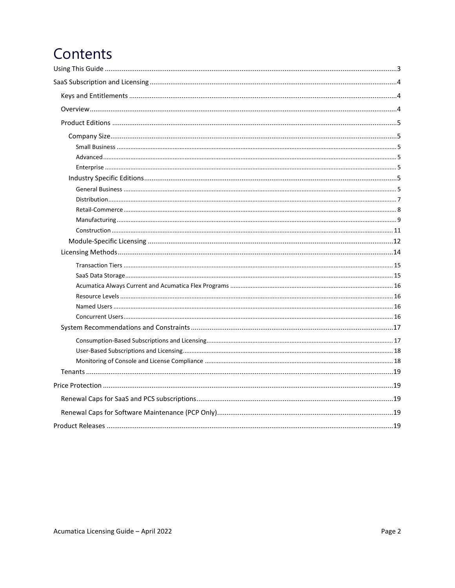## Contents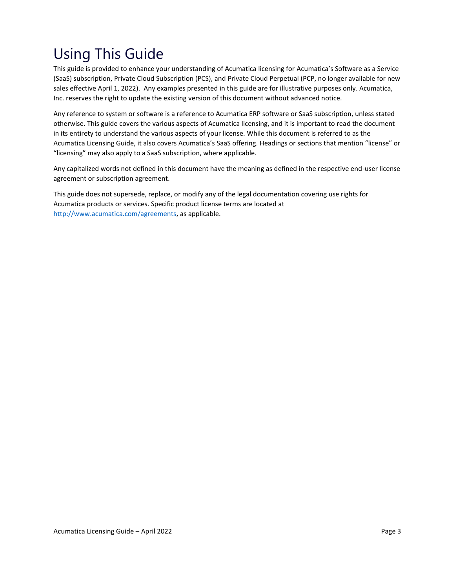## <span id="page-2-0"></span>Using This Guide

This guide is provided to enhance your understanding of Acumatica licensing for Acumatica's Software as a Service (SaaS) subscription, Private Cloud Subscription (PCS), and Private Cloud Perpetual (PCP, no longer available for new sales effective April 1, 2022). Any examples presented in this guide are for illustrative purposes only. Acumatica, Inc. reserves the right to update the existing version of this document without advanced notice.

Any reference to system or software is a reference to Acumatica ERP software or SaaS subscription, unless stated otherwise. This guide covers the various aspects of Acumatica licensing, and it is important to read the document in its entirety to understand the various aspects of your license. While this document is referred to as the Acumatica Licensing Guide, it also covers Acumatica's SaaS offering. Headings or sections that mention "license" or "licensing" may also apply to a SaaS subscription, where applicable.

Any capitalized words not defined in this document have the meaning as defined in the respective end-user license agreement or subscription agreement.

This guide does not supersede, replace, or modify any of the legal documentation covering use rights for Acumatica products or services. Specific product license terms are located at [http://www.acumatica.com/agreements,](http://www.acumatica.com/agreements) as applicable.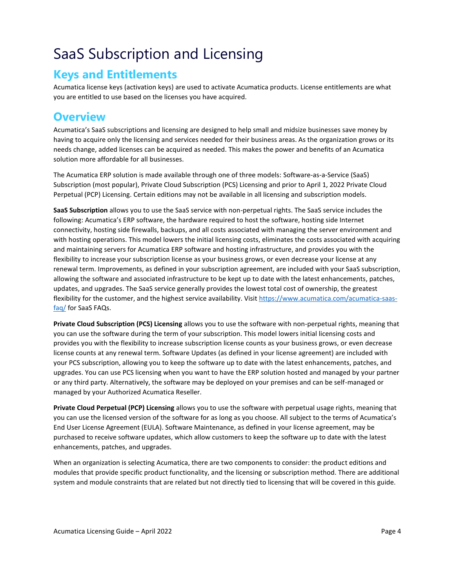## <span id="page-3-0"></span>SaaS Subscription and Licensing

### <span id="page-3-1"></span>**Keys and Entitlements**

Acumatica license keys (activation keys) are used to activate Acumatica products. License entitlements are what you are entitled to use based on the licenses you have acquired.

### <span id="page-3-2"></span>**Overview**

Acumatica's SaaS subscriptions and licensing are designed to help small and midsize businesses save money by having to acquire only the licensing and services needed for their business areas. As the organization grows or its needs change, added licenses can be acquired as needed. This makes the power and benefits of an Acumatica solution more affordable for all businesses.

The Acumatica ERP solution is made available through one of three models: Software-as-a-Service (SaaS) Subscription (most popular), Private Cloud Subscription (PCS) Licensing and prior to April 1, 2022 Private Cloud Perpetual (PCP) Licensing. Certain editions may not be available in all licensing and subscription models.

**SaaS Subscription** allows you to use the SaaS service with non-perpetual rights. The SaaS service includes the following: Acumatica's ERP software, the hardware required to host the software, hosting side Internet connectivity, hosting side firewalls, backups, and all costs associated with managing the server environment and with hosting operations. This model lowers the initial licensing costs, eliminates the costs associated with acquiring and maintaining servers for Acumatica ERP software and hosting infrastructure, and provides you with the flexibility to increase your subscription license as your business grows, or even decrease your license at any renewal term. Improvements, as defined in your subscription agreement, are included with your SaaS subscription, allowing the software and associated infrastructure to be kept up to date with the latest enhancements, patches, updates, and upgrades. The SaaS service generally provides the lowest total cost of ownership, the greatest flexibility for the customer, and the highest service availability. Visi[t https://www.acumatica.com/acumatica-saas](https://www.acumatica.com/acumatica-saas-faq/)[faq/](https://www.acumatica.com/acumatica-saas-faq/) for SaaS FAQs.

**Private Cloud Subscription (PCS) Licensing** allows you to use the software with non-perpetual rights, meaning that you can use the software during the term of your subscription. This model lowers initial licensing costs and provides you with the flexibility to increase subscription license counts as your business grows, or even decrease license counts at any renewal term. Software Updates (as defined in your license agreement) are included with your PCS subscription, allowing you to keep the software up to date with the latest enhancements, patches, and upgrades. You can use PCS licensing when you want to have the ERP solution hosted and managed by your partner or any third party. Alternatively, the software may be deployed on your premises and can be self-managed or managed by your Authorized Acumatica Reseller.

**Private Cloud Perpetual (PCP) Licensing** allows you to use the software with perpetual usage rights, meaning that you can use the licensed version of the software for as long as you choose. All subject to the terms of Acumatica's End User License Agreement (EULA). Software Maintenance, as defined in your license agreement, may be purchased to receive software updates, which allow customers to keep the software up to date with the latest enhancements, patches, and upgrades.

When an organization is selecting Acumatica, there are two components to consider: the product editions and modules that provide specific product functionality, and the licensing or subscription method. There are additional system and module constraints that are related but not directly tied to licensing that will be covered in this guide.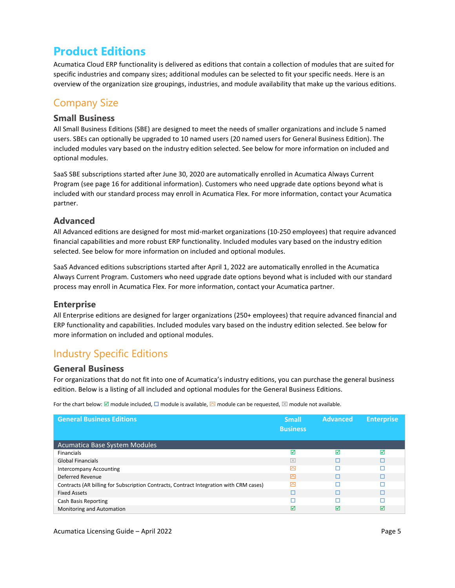### <span id="page-4-0"></span>**Product Editions**

Acumatica Cloud ERP functionality is delivered as editions that contain a collection of modules that are suited for specific industries and company sizes; additional modules can be selected to fit your specific needs. Here is an overview of the organization size groupings, industries, and module availability that make up the various editions.

### <span id="page-4-1"></span>Company Size

#### <span id="page-4-2"></span>**Small Business**

All Small Business Editions (SBE) are designed to meet the needs of smaller organizations and include 5 named users. SBEs can optionally be upgraded to 10 named users (20 named users for General Business Edition). The included modules vary based on the industry edition selected. See below for more information on included and optional modules.

SaaS SBE subscriptions started after June 30, 2020 are automatically enrolled in Acumatica Always Current Program (see page 16 for additional information). Customers who need upgrade date options beyond what is included with our standard process may enroll in Acumatica Flex. For more information, contact your Acumatica partner.

#### <span id="page-4-3"></span>**Advanced**

All Advanced editions are designed for most mid-market organizations (10-250 employees) that require advanced financial capabilities and more robust ERP functionality. Included modules vary based on the industry edition selected. See below for more information on included and optional modules.

SaaS Advanced editions subscriptions started after April 1, 2022 are automatically enrolled in the Acumatica Always Current Program. Customers who need upgrade date options beyond what is included with our standard process may enroll in Acumatica Flex. For more information, contact your Acumatica partner.

#### <span id="page-4-4"></span>**Enterprise**

All Enterprise editions are designed for larger organizations (250+ employees) that require advanced financial and ERP functionality and capabilities. Included modules vary based on the industry edition selected. See below for more information on included and optional modules.

### <span id="page-4-5"></span>Industry Specific Editions

#### <span id="page-4-6"></span>**General Business**

For organizations that do not fit into one of Acumatica's industry editions, you can purchase the general business edition. Below is a listing of all included and optional modules for the General Business Editions.

| <b>General Business Editions</b>                                                       | <b>Small</b><br><b>Business</b> | Advanced | <b>Enterprise</b> |
|----------------------------------------------------------------------------------------|---------------------------------|----------|-------------------|
| Acumatica Base System Modules                                                          |                                 |          |                   |
| <b>Financials</b>                                                                      | ☑                               | ☑        | ⊠                 |
| <b>Global Financials</b>                                                               | $\overline{\times}$             | ⊓        |                   |
| Intercompany Accounting                                                                | ◚                               |          |                   |
| Deferred Revenue                                                                       | ◚                               |          |                   |
| Contracts (AR billing for Subscription Contracts, Contract Integration with CRM cases) | 囨                               |          |                   |
| <b>Fixed Assets</b>                                                                    |                                 |          |                   |
| Cash Basis Reporting                                                                   |                                 |          |                   |
| Monitoring and Automation                                                              | ⊽                               | ☑        | ⊠                 |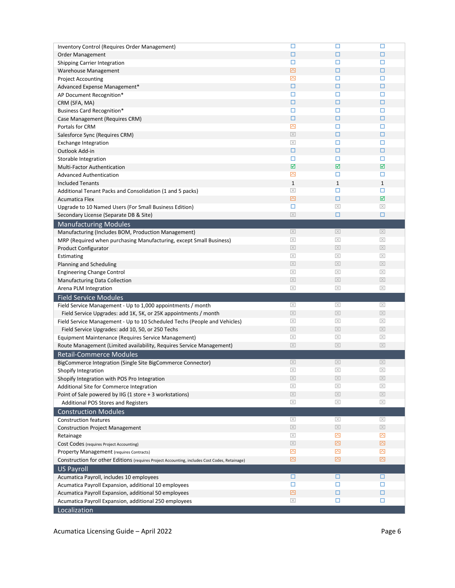| Inventory Control (Requires Order Management)                                                 | □                       | □                       | □                   |
|-----------------------------------------------------------------------------------------------|-------------------------|-------------------------|---------------------|
| Order Management                                                                              | □                       | □                       | □                   |
| <b>Shipping Carrier Integration</b>                                                           | □                       | □                       | □                   |
| Warehouse Management                                                                          | 囜                       | $\Box$                  | $\Box$              |
| <b>Project Accounting</b>                                                                     | ⊠                       | □                       | □                   |
| Advanced Expense Management*                                                                  | □                       | □                       | □                   |
| AP Document Recognition*                                                                      | □                       | □                       | □                   |
| CRM (SFA, MA)                                                                                 | □                       | $\Box$                  | □                   |
| <b>Business Card Recognition*</b>                                                             | □                       | □                       | □                   |
| Case Management (Requires CRM)                                                                | □                       | $\Box$                  | $\Box$              |
| Portals for CRM                                                                               | ⊠                       | □                       | □                   |
|                                                                                               | $\boxed{\times}$        | □                       | □                   |
| Salesforce Sync (Requires CRM)                                                                | $\overline{\times}$     | □                       | □                   |
| <b>Exchange Integration</b>                                                                   |                         |                         | □                   |
| Outlook Add-in                                                                                | □<br>□                  | □<br>□                  | □                   |
| Storable Integration                                                                          | ☑                       | $\overline{\mathbf{M}}$ | ☑                   |
| Multi-Factor Authentication                                                                   |                         |                         |                     |
| <b>Advanced Authentication</b>                                                                | ⊠                       | □                       | □                   |
| <b>Included Tenants</b>                                                                       | $\mathbf{1}$            | $\mathbf{1}$            | $\mathbf 1$         |
| Additional Tenant Packs and Consolidation (1 and 5 packs)                                     | $\overline{\mathbb{X}}$ | □                       | □                   |
| <b>Acumatica Flex</b>                                                                         | 囜                       | $\Box$                  | ☑                   |
| Upgrade to 10 Named Users (For Small Business Edition)                                        | □                       | $\boxtimes$             | $\boxed{\times}$    |
| Secondary License (Separate DB & Site)                                                        | $\boxed{\times}$        | □                       | □                   |
| <b>Manufacturing Modules</b>                                                                  |                         |                         |                     |
| Manufacturing (Includes BOM, Production Management)                                           | $\boxed{\times}$        | $\boxed{\times}$        | $\boxed{\times}$    |
| MRP (Required when purchasing Manufacturing, except Small Business)                           | $\boxed{\times}$        | $\boxed{\times}$        | $\boxed{\times}$    |
| <b>Product Configurator</b>                                                                   | $\boxed{\times}$        | $\boxed{\times}$        | $\boxed{\times}$    |
| Estimating                                                                                    | $\boxed{\times}$        | $\boxed{\times}$        | $\boxed{\times}$    |
| Planning and Scheduling                                                                       | $\boxed{\times}$        | $\boxed{\times}$        | $\boxed{\times}$    |
|                                                                                               | $\overline{\times}$     | $\boxed{\times}$        | $\boxed{\times}$    |
| <b>Engineering Change Control</b>                                                             |                         |                         |                     |
| Manufacturing Data Collection                                                                 | $\boxed{\times}$        | $\overline{\mathbf{X}}$ | $\overline{\times}$ |
| Arena PLM Integration                                                                         | $\overline{\mathbb{X}}$ | $\boxed{\times}$        | $\boxed{\times}$    |
| <b>Field Service Modules</b>                                                                  |                         |                         |                     |
| Field Service Management - Up to 1,000 appointments / month                                   | $\boxed{\times}$        | $\boxed{\times}$        | $\boxed{\times}$    |
| Field Service Upgrades: add 1K, 5K, or 25K appointments / month                               | $\boxed{\times}$        | $\boxed{\times}$        | $\boxed{\times}$    |
| Field Service Management - Up to 10 Scheduled Techs (People and Vehicles)                     | $\boxed{\times}$        | $\boxed{\times}$        | $\boxed{\times}$    |
| Field Service Upgrades: add 10, 50, or 250 Techs                                              | $\boxed{\times}$        | $\boxed{\times}$        | $\boxed{\times}$    |
| Equipment Maintenance (Requires Service Management)                                           | $\overline{\mathbb{X}}$ | $\boxed{\times}$        | $\boxed{\times}$    |
| Route Management (Limited availability, Requires Service Management)                          | $\boxed{\times}$        | $\boxed{\times}$        | $\boxed{\times}$    |
| <b>Retail-Commerce Modules</b>                                                                |                         |                         |                     |
| BigCommerce Integration (Single Site BigCommerce Connector)                                   | $\boxed{\times}$        | $\boxed{\times}$        | $\boxed{\times}$    |
| Shopify Integration                                                                           | $\overline{\mathbb{X}}$ | $\boxed{\times}$        | $\boxed{\times}$    |
| Shopify Integration with POS Pro Integration                                                  | $\boxed{\times}$        | $\boxed{\times}$        | $\boxed{\times}$    |
| Additional Site for Commerce Integration                                                      | $\boxed{\times}$        | $\boxed{\times}$        | $\overline{\times}$ |
| Point of Sale powered by IIG (1 store + 3 workstations)                                       | $\boxed{\times}$        | $\boxed{\times}$        | $\boxed{\times}$    |
| Additional POS Stores and Registers                                                           | $\overline{\mathbb{X}}$ | $\boxed{\times}$        | $\boxed{\times}$    |
| <b>Construction Modules</b>                                                                   |                         |                         |                     |
| <b>Construction features</b>                                                                  | $\boxed{\times}$        | $\boxed{\times}$        | $\boxed{\times}$    |
| <b>Construction Project Management</b>                                                        | $\boxed{\times}$        | $\boxed{\times}$        | $\boxed{\times}$    |
| Retainage                                                                                     | $\boxtimes$             | ⊠                       | ⊠                   |
| Cost Codes (requires Project Accounting)                                                      | $\boxed{\times}$        | ⊠                       | 囜                   |
| Property Management (requires Contracts)                                                      | ⊠                       | ⊠                       | ⊠                   |
| Construction for other Editions (requires Project Accounting, includes Cost Codes, Retainage) | ⊠                       | ⊠                       | ⊠                   |
| <b>US Payroll</b>                                                                             |                         |                         |                     |
| Acumatica Payroll, includes 10 employees                                                      | □                       | □                       | □                   |
| Acumatica Payroll Expansion, additional 10 employees                                          | □                       | □                       | □                   |
| Acumatica Payroll Expansion, additional 50 employees                                          | 囜                       | $\Box$                  | □                   |
| Acumatica Payroll Expansion, additional 250 employees<br>Localization                         | $\boxed{\times}$        | □                       | $\Box$              |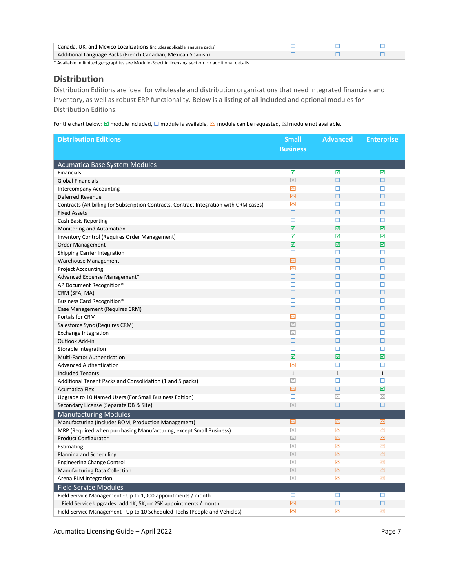| Canada, UK, and Mexico Localizations (includes applicable language packs) |  |  |
|---------------------------------------------------------------------------|--|--|
| Additional Language Packs (French Canadian, Mexican Spanish)              |  |  |
| .                                                                         |  |  |

#### <span id="page-6-0"></span>**Distribution**

Distribution Editions are ideal for wholesale and distribution organizations that need integrated financials and inventory, as well as robust ERP functionality. Below is a listing of all included and optional modules for Distribution Editions.

For the chart below:  $\Box$  module included,  $\Box$  module is available,  $\Box$  module can be requested,  $\boxtimes$  module not available.

| <b>Distribution Editions</b>                                                           | <b>Small</b>           | <b>Advanced</b>         | <b>Enterprise</b>       |
|----------------------------------------------------------------------------------------|------------------------|-------------------------|-------------------------|
|                                                                                        | <b>Business</b>        |                         |                         |
|                                                                                        |                        |                         |                         |
| Acumatica Base System Modules                                                          |                        |                         |                         |
| <b>Financials</b>                                                                      | ☑                      | ☑                       | ☑                       |
| <b>Global Financials</b>                                                               | $\boxed{\times}$       | $\Box$                  | $\Box$                  |
| <b>Intercompany Accounting</b>                                                         | 囜                      | □                       | П                       |
| Deferred Revenue                                                                       | $\overline{\boxtimes}$ | $\Box$                  | □                       |
| Contracts (AR billing for Subscription Contracts, Contract Integration with CRM cases) | $\overline{\triangle}$ | п                       | о                       |
| <b>Fixed Assets</b>                                                                    | $\Box$                 | $\Box$                  | $\Box$                  |
| <b>Cash Basis Reporting</b>                                                            | □                      | □                       | □                       |
| Monitoring and Automation                                                              | ☑                      | ☑                       | ☑                       |
| Inventory Control (Requires Order Management)                                          | ☑                      | ☑                       | ☑                       |
| <b>Order Management</b>                                                                | ☑                      | $\overline{\mathbf{M}}$ | ☑                       |
| Shipping Carrier Integration                                                           | о<br>囜                 | □<br>□                  | п<br>$\Box$             |
| Warehouse Management                                                                   | 囜                      | □                       | □                       |
| <b>Project Accounting</b>                                                              | □                      | $\Box$                  | $\Box$                  |
| Advanced Expense Management*                                                           | □                      | □                       | □                       |
| AP Document Recognition*<br>CRM (SFA, MA)                                              | □                      | $\Box$                  | $\Box$                  |
| <b>Business Card Recognition*</b>                                                      | п                      | п                       | П                       |
| Case Management (Requires CRM)                                                         | □                      | $\Box$                  | □                       |
| Portals for CRM                                                                        | 囜                      | □                       | □                       |
| Salesforce Sync (Requires CRM)                                                         | $\boxed{\times}$       | $\Box$                  | $\Box$                  |
| <b>Exchange Integration</b>                                                            | $\boxed{\times}$       | □                       | □                       |
| Outlook Add-in                                                                         | □                      | □                       | $\Box$                  |
| Storable Integration                                                                   | □                      | п                       | п                       |
| Multi-Factor Authentication                                                            | ☑                      | $\overline{\mathbf{M}}$ | $\overline{\mathbf{y}}$ |
| <b>Advanced Authentication</b>                                                         | 囜                      | □                       | □                       |
| <b>Included Tenants</b>                                                                | $\mathbf 1$            | $\mathbf{1}$            | $\mathbf{1}$            |
| Additional Tenant Packs and Consolidation (1 and 5 packs)                              | $\overline{\times}$    | П                       | П                       |
| <b>Acumatica Flex</b>                                                                  | 囜                      | $\Box$                  | ☑                       |
| Upgrade to 10 Named Users (For Small Business Edition)                                 | п                      | $\overline{\times}$     | $\overline{\times}$     |
| Secondary License (Separate DB & Site)                                                 | $\boxed{\times}$       | $\Box$                  | $\Box$                  |
| <b>Manufacturing Modules</b>                                                           |                        |                         |                         |
| Manufacturing (Includes BOM, Production Management)                                    | 囜                      | ⊠                       | ⊡                       |
| MRP (Required when purchasing Manufacturing, except Small Business)                    | $\boxed{\times}$       | 囜                       | ⊠                       |
| <b>Product Configurator</b>                                                            | $\boxed{\times}$       | 囜                       | 囜                       |
| Estimating                                                                             | $\boxed{\times}$       | 囜                       | 囜                       |
| Planning and Scheduling                                                                | $\boxed{\times}$       | 囜                       | $\overline{\triangle}$  |
| <b>Engineering Change Control</b>                                                      | $\overline{\times}$    | 囜                       | 囜                       |
| Manufacturing Data Collection                                                          | $\boxed{\times}$       | 囜                       | 囜                       |
| Arena PLM Integration                                                                  | $\boxed{\times}$       | $\overline{\triangle}$  | 冈                       |
| <b>Field Service Modules</b>                                                           |                        |                         |                         |
| Field Service Management - Up to 1,000 appointments / month                            | П                      | □                       | П                       |
| Field Service Upgrades: add 1K, 5K, or 25K appointments / month                        | 囜                      | $\Box$                  | □                       |
| Field Service Management - Up to 10 Scheduled Techs (People and Vehicles)              | 囜                      | 囜                       | 囜                       |

Acumatica Licensing Guide – April 2022 **Page 7** Page 7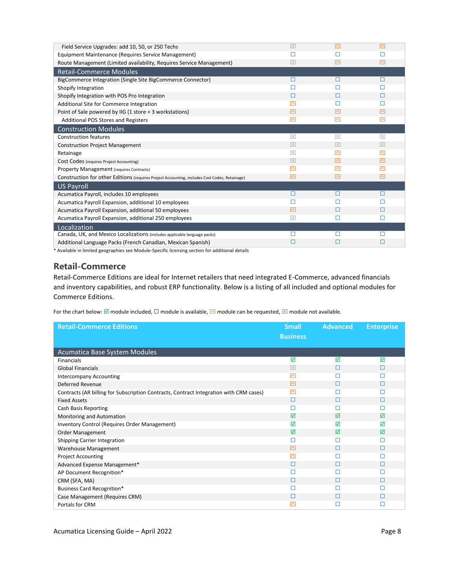| Field Service Upgrades: add 10, 50, or 250 Techs                                              | $\overline{\mathbf{X}}$ | 囨                   | 内                   |
|-----------------------------------------------------------------------------------------------|-------------------------|---------------------|---------------------|
| Equipment Maintenance (Requires Service Management)                                           |                         |                     |                     |
| Route Management (Limited availability, Requires Service Management)                          | $ \times $              | 罓                   | 囨                   |
| <b>Retail-Commerce Modules</b>                                                                |                         |                     |                     |
| BigCommerce Integration (Single Site BigCommerce Connector)                                   | □                       | п                   | п                   |
| Shopify Integration                                                                           |                         |                     |                     |
| Shopify Integration with POS Pro Integration                                                  | п                       |                     |                     |
| Additional Site for Commerce Integration                                                      | 囨                       |                     |                     |
| Point of Sale powered by IIG (1 store + 3 workstations)                                       | ◚                       | ◚                   | 囨                   |
| Additional POS Stores and Registers                                                           | ⊠                       | ⊠                   | 囨                   |
| <b>Construction Modules</b>                                                                   |                         |                     |                     |
| <b>Construction features</b>                                                                  | $\overline{\mathbb{X}}$ | $\overline{\times}$ | $\overline{\times}$ |
| <b>Construction Project Management</b>                                                        | $ \times $              | $ \times $          | $ \times $          |
| Retainage                                                                                     | $\overline{\mathbb{X}}$ | ◚                   | 罓                   |
| Cost Codes (requires Project Accounting)                                                      | $ \times $              | ⊠                   | 囨                   |
| <b>Property Management (requires Contracts)</b>                                               | 囨                       | 罓                   | 罓                   |
| Construction for other Editions (requires Project Accounting, includes Cost Codes, Retainage) | 囨                       | 罓                   | 囨                   |
| US Payroll                                                                                    |                         |                     |                     |
| Acumatica Payroll, includes 10 employees                                                      | П                       | п                   | п                   |
| Acumatica Payroll Expansion, additional 10 employees                                          |                         |                     |                     |
| Acumatica Payroll Expansion, additional 50 employees                                          | 囨                       | п                   |                     |
| Acumatica Payroll Expansion, additional 250 employees                                         | $\overline{\times}$     | п                   | п                   |
| Localization                                                                                  |                         |                     |                     |
| Canada, UK, and Mexico Localizations (includes applicable language packs)                     |                         |                     |                     |
| Additional Language Packs (French Canadian, Mexican Spanish)                                  |                         | П                   | П                   |

#### <span id="page-7-0"></span>**Retail-Commerce**

Retail-Commerce Editions are ideal for Internet retailers that need integrated E-Commerce, advanced financials and inventory capabilities, and robust ERP functionality. Below is a listing of all included and optional modules for Commerce Editions.

| <b>Retail-Commerce Editions</b>                                                        | <b>Small</b>            | <b>Advanced</b> | <b>Enterprise</b> |
|----------------------------------------------------------------------------------------|-------------------------|-----------------|-------------------|
|                                                                                        | <b>Business</b>         |                 |                   |
|                                                                                        |                         |                 |                   |
| Acumatica Base System Modules                                                          |                         |                 |                   |
| Financials                                                                             | ☑                       | ☑               | ☑                 |
| <b>Global Financials</b>                                                               | $\overline{\mathbb{X}}$ | п               | п                 |
| <b>Intercompany Accounting</b>                                                         | ⊠                       | п               |                   |
| Deferred Revenue                                                                       | 囜                       | п               | п                 |
| Contracts (AR billing for Subscription Contracts, Contract Integration with CRM cases) | ⊠                       |                 |                   |
| <b>Fixed Assets</b>                                                                    | □                       | п               | п                 |
| Cash Basis Reporting                                                                   | П                       | п               | П                 |
| Monitoring and Automation                                                              | ⊠                       | ⊠               | ⊠                 |
| Inventory Control (Requires Order Management)                                          | ☑                       | ⊠               | ⊠                 |
| <b>Order Management</b>                                                                | ☑                       | ☑               | ☑                 |
| Shipping Carrier Integration                                                           | П                       | п               | п                 |
| Warehouse Management                                                                   | 囜                       | П               | п                 |
| <b>Project Accounting</b>                                                              | ⊠                       | п               | п                 |
| Advanced Expense Management*                                                           | □                       | П               | п                 |
| AP Document Recognition*                                                               | П                       | п               |                   |
| CRM (SFA, MA)                                                                          | □                       | п               | п                 |
| <b>Business Card Recognition*</b>                                                      |                         | п               |                   |
| Case Management (Requires CRM)                                                         | П                       | П               |                   |
| Portals for CRM                                                                        | ⊠                       | П               | п                 |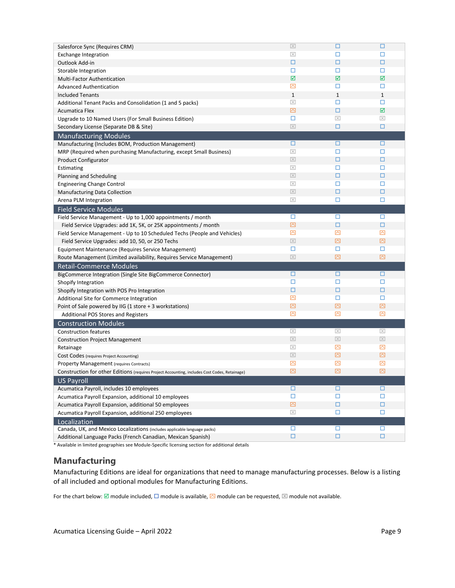| Salesforce Sync (Requires CRM)                                                                | $\boxed{\times}$        | □                      | $\Box$              |
|-----------------------------------------------------------------------------------------------|-------------------------|------------------------|---------------------|
| <b>Exchange Integration</b>                                                                   | $\boxtimes$             | □                      | □                   |
| Outlook Add-in                                                                                | □                       | □                      | □                   |
| Storable Integration                                                                          | □                       | □                      | □                   |
| Multi-Factor Authentication                                                                   | ☑                       | ☑                      | ☑                   |
| <b>Advanced Authentication</b>                                                                | ⊠                       | □                      | □                   |
| <b>Included Tenants</b>                                                                       | $\mathbf{1}$            | $\mathbf{1}$           | $\mathbf{1}$        |
| Additional Tenant Packs and Consolidation (1 and 5 packs)                                     | $\overline{\mathbb{X}}$ | □                      | □                   |
| <b>Acumatica Flex</b>                                                                         | ⊠                       | □                      | ☑                   |
| Upgrade to 10 Named Users (For Small Business Edition)                                        | □                       | $\overline{\times}$    | $\overline{\times}$ |
| Secondary License (Separate DB & Site)                                                        | $\overline{\times}$     | □                      | □                   |
| <b>Manufacturing Modules</b>                                                                  |                         |                        |                     |
| Manufacturing (Includes BOM, Production Management)                                           | □                       | □                      | □                   |
| MRP (Required when purchasing Manufacturing, except Small Business)                           | $\boxed{\times}$        | □                      | □                   |
| <b>Product Configurator</b>                                                                   | $\boxed{\times}$        | □                      | □                   |
| Estimating                                                                                    | $\overline{\times}$     | □                      | □                   |
| Planning and Scheduling                                                                       | $\boxed{\times}$        | $\Box$                 | $\Box$              |
| <b>Engineering Change Control</b>                                                             | $\boxed{\times}$        | □                      | □                   |
| Manufacturing Data Collection                                                                 | $\boxed{\times}$        | □                      | □                   |
| Arena PLM Integration                                                                         | $\overline{\mathbb{X}}$ | □                      | □                   |
| <b>Field Service Modules</b>                                                                  |                         |                        |                     |
| Field Service Management - Up to 1,000 appointments / month                                   | □                       | □                      | □                   |
| Field Service Upgrades: add 1K, 5K, or 25K appointments / month                               | 囜                       | □                      | $\Box$              |
| Field Service Management - Up to 10 Scheduled Techs (People and Vehicles)                     | ⊠                       | ⊠                      | ⊠                   |
| Field Service Upgrades: add 10, 50, or 250 Techs                                              | $\boxed{\times}$        | ⊠                      | ⊡                   |
| Equipment Maintenance (Requires Service Management)                                           | □                       | □                      | □                   |
| Route Management (Limited availability, Requires Service Management)                          | $\overline{\times}$     | 囜                      | 囜                   |
|                                                                                               |                         |                        |                     |
| <b>Retail-Commerce Modules</b>                                                                | □                       | □                      | □                   |
| BigCommerce Integration (Single Site BigCommerce Connector)                                   | □                       | □                      | □                   |
| Shopify Integration                                                                           | □                       | □                      | □                   |
| Shopify Integration with POS Pro Integration                                                  | ⊠                       | □                      | □                   |
| Additional Site for Commerce Integration                                                      | 囜                       | 囜                      | 囜                   |
| Point of Sale powered by IIG (1 store + 3 workstations)                                       | ⊠                       | ⊠                      | ⊠                   |
| Additional POS Stores and Registers                                                           |                         |                        |                     |
| <b>Construction Modules</b>                                                                   |                         |                        |                     |
| <b>Construction features</b>                                                                  | $\overline{\times}$     | $\boxed{\times}$       | $\boxed{\times}$    |
| <b>Construction Project Management</b>                                                        | $\boxed{\times}$        | $\boxed{\times}$       | $\boxed{\times}$    |
| Retainage                                                                                     | $\boxed{\times}$        | $\overline{\triangle}$ | 囜                   |
| Cost Codes (requires Project Accounting)                                                      | $\boxed{\times}$        | ⊠                      | 囜                   |
| <b>Property Management (requires Contracts)</b>                                               | ⊠                       | ⊠                      | ⊠                   |
| Construction for other Editions (requires Project Accounting, includes Cost Codes, Retainage) | ⊠                       | ⊠                      | ⊠                   |
| <b>US Payroll</b>                                                                             |                         |                        |                     |
| Acumatica Payroll, includes 10 employees                                                      | □                       | □                      | □                   |
| Acumatica Payroll Expansion, additional 10 employees                                          | □                       | □                      | □                   |
| Acumatica Payroll Expansion, additional 50 employees                                          | $\boxtimes$             | □                      | □                   |
| Acumatica Payroll Expansion, additional 250 employees                                         | $\boxed{\times}$        | □                      | □                   |
| Localization                                                                                  |                         |                        |                     |
| Canada, UK, and Mexico Localizations (includes applicable language packs)                     | □                       | □                      | □                   |
| Additional Language Packs (French Canadian, Mexican Spanish)                                  | □                       | □                      | □                   |

#### <span id="page-8-0"></span>**Manufacturing**

Manufacturing Editions are ideal for organizations that need to manage manufacturing processes. Below is a listing of all included and optional modules for Manufacturing Editions.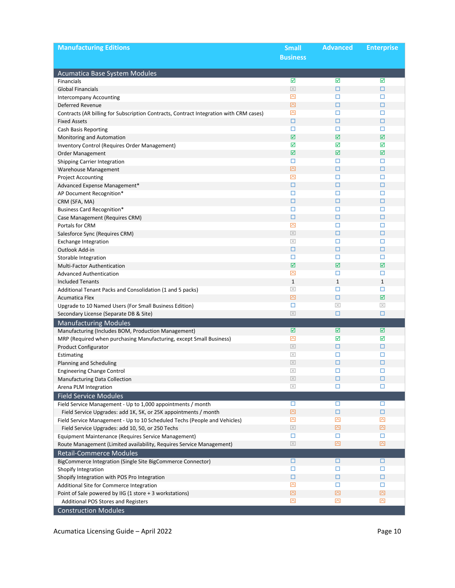| <b>Manufacturing Editions</b>                                                               | <b>Small</b>             | <b>Advanced</b>         | <b>Enterprise</b> |
|---------------------------------------------------------------------------------------------|--------------------------|-------------------------|-------------------|
|                                                                                             | <b>Business</b>          |                         |                   |
|                                                                                             |                          |                         |                   |
| Acumatica Base System Modules                                                               |                          |                         |                   |
| <b>Financials</b>                                                                           | ☑                        | ☑                       | ☑                 |
| <b>Global Financials</b>                                                                    | $\boxed{\times}$         | □                       | □                 |
| <b>Intercompany Accounting</b>                                                              | $\overline{\triangle}$   | □                       | □                 |
| Deferred Revenue                                                                            | 囜                        | $\Box$                  | □                 |
| Contracts (AR billing for Subscription Contracts, Contract Integration with CRM cases)      | $\overline{\triangle}$   | □                       | □                 |
| <b>Fixed Assets</b>                                                                         | □                        | □                       | □                 |
| <b>Cash Basis Reporting</b>                                                                 | □                        | □                       | □                 |
| Monitoring and Automation                                                                   | ☑                        | ☑                       | ☑                 |
| Inventory Control (Requires Order Management)                                               | ☑                        | ☑                       | ☑                 |
| Order Management                                                                            | ☑                        | ☑                       | ☑                 |
| <b>Shipping Carrier Integration</b>                                                         | □                        | □                       | □                 |
| Warehouse Management                                                                        | ⊡                        | □                       | □                 |
| <b>Project Accounting</b>                                                                   | ⊠                        | □                       | □                 |
| Advanced Expense Management*                                                                | □                        | $\Box$                  | □                 |
| AP Document Recognition*                                                                    | □                        | □                       | □                 |
| CRM (SFA, MA)                                                                               | □                        | □                       | □                 |
| <b>Business Card Recognition*</b>                                                           | □                        | □                       | □                 |
| Case Management (Requires CRM)                                                              | □                        | □                       | □                 |
| Portals for CRM                                                                             | $\overline{\triangle}$   | □                       | □                 |
| Salesforce Sync (Requires CRM)                                                              | $\boxed{\times}$         | □                       | □                 |
| <b>Exchange Integration</b>                                                                 | $\boxed{\times}$         | □                       | □                 |
| Outlook Add-in                                                                              | □                        | □                       | □                 |
| Storable Integration                                                                        | □                        | □                       | □                 |
| Multi-Factor Authentication                                                                 | ☑                        | $\overline{\mathbf{M}}$ | ☑                 |
| <b>Advanced Authentication</b>                                                              | ⊠                        | □                       | □                 |
| <b>Included Tenants</b>                                                                     | $\mathbf 1$              | $\mathbf{1}$            | $\mathbf{1}$      |
| Additional Tenant Packs and Consolidation (1 and 5 packs)                                   | $\overline{\times}$<br>囜 | □                       | □<br>☑            |
| <b>Acumatica Flex</b>                                                                       |                          | □                       |                   |
| Upgrade to 10 Named Users (For Small Business Edition)                                      | □<br>$\boxed{\times}$    | $\boxed{\times}$<br>□   | $\boxtimes$<br>□  |
| Secondary License (Separate DB & Site)                                                      |                          |                         |                   |
| <b>Manufacturing Modules</b>                                                                | ☑                        | ☑                       | ☑                 |
| Manufacturing (Includes BOM, Production Management)                                         | ⊠                        | ☑                       | ☑                 |
| MRP (Required when purchasing Manufacturing, except Small Business)<br>Product Configurator | $\boxed{\times}$         | □                       | □                 |
| Estimating                                                                                  | $\boxed{\times}$         | □                       | □                 |
| Planning and Scheduling                                                                     | $\boxed{\times}$         | □                       | □                 |
| <b>Engineering Change Control</b>                                                           | $\boxed{\times}$         | □                       | □                 |
| Manufacturing Data Collection                                                               | $\boxed{\times}$         | $\Box$                  | □                 |
| Arena PLM Integration                                                                       | $\overline{\times}$      | □                       | □                 |
| <b>Field Service Modules</b>                                                                |                          |                         |                   |
| Field Service Management - Up to 1,000 appointments / month                                 | □                        | □                       | □                 |
| Field Service Upgrades: add 1K, 5K, or 25K appointments / month                             | ⊠                        | □                       | □                 |
| Field Service Management - Up to 10 Scheduled Techs (People and Vehicles)                   | $\overline{\triangle}$   | ⊠                       | ⊠                 |
| Field Service Upgrades: add 10, 50, or 250 Techs                                            | $\boxed{\times}$         | ⊠                       | ⊡                 |
| Equipment Maintenance (Requires Service Management)                                         | □                        | □                       | □                 |
| Route Management (Limited availability, Requires Service Management)                        | $\boxed{\times}$         | ⊠                       | ⊠                 |
| <b>Retail-Commerce Modules</b>                                                              |                          |                         |                   |
| BigCommerce Integration (Single Site BigCommerce Connector)                                 | □                        | □                       | ◻                 |
| Shopify Integration                                                                         | □                        | □                       | □                 |
| Shopify Integration with POS Pro Integration                                                | □                        | □                       | □                 |
| Additional Site for Commerce Integration                                                    | ⊠                        | □                       | □                 |
| Point of Sale powered by IIG (1 store + 3 workstations)                                     | 囜                        | 囜                       | ⊠                 |
| Additional POS Stores and Registers                                                         | $\overline{\triangle}$   | 囜                       | 囜                 |
| <b>Construction Modules</b>                                                                 |                          |                         |                   |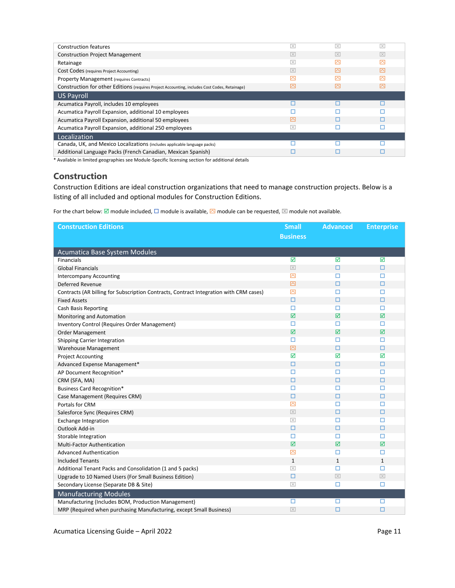| <b>Construction features</b>                                                                  | $\overline{\times}$ | $\overline{\times}$     | $\overline{\times}$ |
|-----------------------------------------------------------------------------------------------|---------------------|-------------------------|---------------------|
| <b>Construction Project Management</b>                                                        | $\overline{\times}$ | $\overline{\mathbf{X}}$ | $ \times $          |
| Retainage                                                                                     | $\overline{\times}$ | r                       | ◚                   |
| Cost Codes (requires Project Accounting)                                                      | $\overline{\times}$ | 囨                       | 罓                   |
| Property Management (requires Contracts)                                                      | ◚                   | ◚                       | ◚                   |
| Construction for other Editions (requires Project Accounting, includes Cost Codes, Retainage) |                     | ⊠                       | ◚                   |
| US Payroll                                                                                    |                     |                         |                     |
| Acumatica Payroll, includes 10 employees                                                      |                     |                         |                     |
| Acumatica Payroll Expansion, additional 10 employees                                          |                     |                         |                     |
| Acumatica Payroll Expansion, additional 50 employees                                          | ◚                   |                         |                     |
| Acumatica Payroll Expansion, additional 250 employees                                         | $\overline{\times}$ |                         |                     |
| Localization                                                                                  |                     |                         |                     |
| Canada, UK, and Mexico Localizations (includes applicable language packs)                     |                     |                         |                     |
| Additional Language Packs (French Canadian, Mexican Spanish)                                  |                     |                         |                     |

#### <span id="page-10-0"></span>**Construction**

Construction Editions are ideal construction organizations that need to manage construction projects. Below is a listing of all included and optional modules for Construction Editions.

| <b>Construction Editions</b>                                                           | <b>Small</b>        | <b>Advanced</b>     | <b>Enterprise</b> |
|----------------------------------------------------------------------------------------|---------------------|---------------------|-------------------|
|                                                                                        | <b>Business</b>     |                     |                   |
|                                                                                        |                     |                     |                   |
| Acumatica Base System Modules                                                          |                     |                     |                   |
| Financials                                                                             | $\triangledown$     | ☑                   | ☑                 |
| <b>Global Financials</b>                                                               | $\boxed{\times}$    | $\Box$              | $\Box$            |
| <b>Intercompany Accounting</b>                                                         | ⊠                   | □                   | □                 |
| Deferred Revenue                                                                       | 囜                   | $\Box$              | $\Box$            |
| Contracts (AR billing for Subscription Contracts, Contract Integration with CRM cases) | 囜                   | □                   | □                 |
| <b>Fixed Assets</b>                                                                    | □                   | □                   | □                 |
| Cash Basis Reporting                                                                   | □                   | □                   | п                 |
| Monitoring and Automation                                                              | ☑                   | ☑                   | ☑                 |
| Inventory Control (Requires Order Management)                                          | □                   | □                   | □                 |
| Order Management                                                                       | ☑                   | ☑                   | $\triangledown$   |
| Shipping Carrier Integration                                                           | □                   | □                   | □                 |
| Warehouse Management                                                                   | 囜                   | $\Box$              | $\Box$            |
| <b>Project Accounting</b>                                                              | ☑                   | ☑                   | ☑                 |
| Advanced Expense Management*                                                           | $\Box$              | $\Box$              | □                 |
| AP Document Recognition*                                                               | $\Box$              | □                   | □                 |
| CRM (SFA, MA)                                                                          | □                   | □                   | □                 |
| <b>Business Card Recognition*</b>                                                      | □                   | □                   | □                 |
| Case Management (Requires CRM)                                                         | $\Box$              | □                   | □                 |
| Portals for CRM                                                                        | 囜                   | $\Box$              | □                 |
| Salesforce Sync (Requires CRM)                                                         | $\overline{\times}$ | □                   | □                 |
| <b>Exchange Integration</b>                                                            | $\boxed{\times}$    | □                   | □                 |
| Outlook Add-in                                                                         | $\Box$              | $\Box$              | □                 |
| Storable Integration                                                                   | □                   | □                   | □                 |
| Multi-Factor Authentication                                                            | ☑                   | ☑                   | ☑                 |
| <b>Advanced Authentication</b>                                                         | 囜                   | □                   | □                 |
| <b>Included Tenants</b>                                                                | $\mathbf{1}$        | $\mathbf{1}$        | $\mathbf{1}$      |
| Additional Tenant Packs and Consolidation (1 and 5 packs)                              | $\overline{\times}$ | □                   | □                 |
| Upgrade to 10 Named Users (For Small Business Edition)                                 | □                   | $\overline{\times}$ | $\boxed{\times}$  |
| Secondary License (Separate DB & Site)                                                 | $\boxed{\times}$    | □                   | □                 |
| <b>Manufacturing Modules</b>                                                           |                     |                     |                   |
| Manufacturing (Includes BOM, Production Management)                                    | □                   | □                   | □                 |
| MRP (Required when purchasing Manufacturing, except Small Business)                    | $\boxed{\times}$    | $\Box$              | $\Box$            |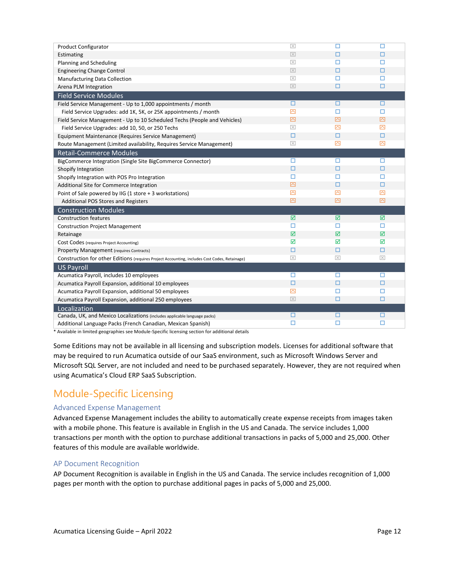| <b>Product Configurator</b>                                                                   | $\overline{\times}$     | П                   | п                      |
|-----------------------------------------------------------------------------------------------|-------------------------|---------------------|------------------------|
| Estimating                                                                                    | $\overline{\times}$     | □                   | □                      |
| Planning and Scheduling                                                                       | $\overline{\times}$     | п                   | п                      |
| <b>Engineering Change Control</b>                                                             | $\overline{\mathbb{X}}$ | □                   | п                      |
| Manufacturing Data Collection                                                                 | $\overline{\times}$     | □                   | □                      |
| Arena PLM Integration                                                                         | $\overline{\times}$     | о                   | $\Box$                 |
| <b>Field Service Modules</b>                                                                  |                         |                     |                        |
| Field Service Management - Up to 1,000 appointments / month                                   | □                       | □                   | □                      |
| Field Service Upgrades: add 1K, 5K, or 25K appointments / month                               | ⊠                       | □                   | □                      |
| Field Service Management - Up to 10 Scheduled Techs (People and Vehicles)                     | $\overline{\boxtimes}$  | 囜                   | $\overline{\triangle}$ |
| Field Service Upgrades: add 10, 50, or 250 Techs                                              | $\boxed{\times}$        | ⊠                   | ⊠                      |
| Equipment Maintenance (Requires Service Management)                                           | □                       | $\Box$              | $\Box$                 |
| Route Management (Limited availability, Requires Service Management)                          | $\overline{\times}$     | 囜                   | 囜                      |
| <b>Retail-Commerce Modules</b>                                                                |                         |                     |                        |
| BigCommerce Integration (Single Site BigCommerce Connector)                                   | □                       | □                   | □                      |
| Shopify Integration                                                                           | □                       | □                   | □                      |
| Shopify Integration with POS Pro Integration                                                  | □                       | □                   | □                      |
| Additional Site for Commerce Integration                                                      | ⊠                       | □                   | □                      |
| Point of Sale powered by IIG (1 store + 3 workstations)                                       | ⊠                       | ⊠                   | ⊠                      |
| Additional POS Stores and Registers                                                           | ⊠                       | 囜                   | $\overline{\boxtimes}$ |
| <b>Construction Modules</b>                                                                   |                         |                     |                        |
| <b>Construction features</b>                                                                  | ☑                       | ☑                   | ☑                      |
| <b>Construction Project Management</b>                                                        | □                       | □                   | □                      |
| Retainage                                                                                     | ☑                       | ☑                   | ☑                      |
| Cost Codes (requires Project Accounting)                                                      | ☑                       | ☑                   | ☑                      |
| <b>Property Management (requires Contracts)</b>                                               | □                       | $\Box$              | □                      |
| Construction for other Editions (requires Project Accounting, includes Cost Codes, Retainage) | $\overline{\mathbb{X}}$ | $\overline{\times}$ | $\overline{\times}$    |
| <b>US Payroll</b>                                                                             |                         |                     |                        |
| Acumatica Payroll, includes 10 employees                                                      | п                       | □                   | п                      |
| Acumatica Payroll Expansion, additional 10 employees                                          | $\Box$                  | □                   | □                      |
| Acumatica Payroll Expansion, additional 50 employees                                          | ⊠                       | □                   | □                      |
| Acumatica Payroll Expansion, additional 250 employees                                         | $\overline{\times}$     | о                   | □                      |
| Localization                                                                                  |                         |                     |                        |
| Canada, UK, and Mexico Localizations (includes applicable language packs)                     | □                       | □                   | □                      |
| Additional Language Packs (French Canadian, Mexican Spanish)                                  | п                       | □                   | □                      |
|                                                                                               |                         |                     |                        |

Some Editions may not be available in all licensing and subscription models. Licenses for additional software that may be required to run Acumatica outside of our SaaS environment, such as Microsoft Windows Server and Microsoft SQL Server, are not included and need to be purchased separately. However, they are not required when using Acumatica's Cloud ERP SaaS Subscription.

### <span id="page-11-0"></span>Module-Specific Licensing

#### Advanced Expense Management

Advanced Expense Management includes the ability to automatically create expense receipts from images taken with a mobile phone. This feature is available in English in the US and Canada. The service includes 1,000 transactions per month with the option to purchase additional transactions in packs of 5,000 and 25,000. Other features of this module are available worldwide.

#### AP Document Recognition

AP Document Recognition is available in English in the US and Canada. The service includes recognition of 1,000 pages per month with the option to purchase additional pages in packs of 5,000 and 25,000.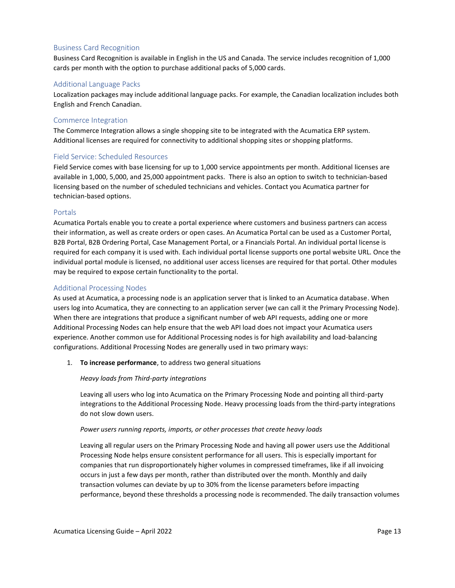#### Business Card Recognition

Business Card Recognition is available in English in the US and Canada. The service includes recognition of 1,000 cards per month with the option to purchase additional packs of 5,000 cards.

#### Additional Language Packs

Localization packages may include additional language packs. For example, the Canadian localization includes both English and French Canadian.

#### Commerce Integration

The Commerce Integration allows a single shopping site to be integrated with the Acumatica ERP system. Additional licenses are required for connectivity to additional shopping sites or shopping platforms.

#### Field Service: Scheduled Resources

Field Service comes with base licensing for up to 1,000 service appointments per month. Additional licenses are available in 1,000, 5,000, and 25,000 appointment packs. There is also an option to switch to technician-based licensing based on the number of scheduled technicians and vehicles. Contact you Acumatica partner for technician-based options.

#### Portals

Acumatica Portals enable you to create a portal experience where customers and business partners can access their information, as well as create orders or open cases. An Acumatica Portal can be used as a Customer Portal, B2B Portal, B2B Ordering Portal, Case Management Portal, or a Financials Portal. An individual portal license is required for each company it is used with. Each individual portal license supports one portal website URL. Once the individual portal module is licensed, no additional user access licenses are required for that portal. Other modules may be required to expose certain functionality to the portal.

#### Additional Processing Nodes

As used at Acumatica, a processing node is an application server that is linked to an Acumatica database. When users log into Acumatica, they are connecting to an application server (we can call it the Primary Processing Node). When there are integrations that produce a significant number of web API requests, adding one or more Additional Processing Nodes can help ensure that the web API load does not impact your Acumatica users experience. Another common use for Additional Processing nodes is for high availability and load-balancing configurations. Additional Processing Nodes are generally used in two primary ways:

#### 1. **To increase performance**, to address two general situations

#### *Heavy loads from Third-party integrations*

Leaving all users who log into Acumatica on the Primary Processing Node and pointing all third-party integrations to the Additional Processing Node. Heavy processing loads from the third-party integrations do not slow down users.

#### *Power users running reports, imports, or other processes that create heavy loads*

Leaving all regular users on the Primary Processing Node and having all power users use the Additional Processing Node helps ensure consistent performance for all users. This is especially important for companies that run disproportionately higher volumes in compressed timeframes, like if all invoicing occurs in just a few days per month, rather than distributed over the month. Monthly and daily transaction volumes can deviate by up to 30% from the license parameters before impacting performance, beyond these thresholds a processing node is recommended. The daily transaction volumes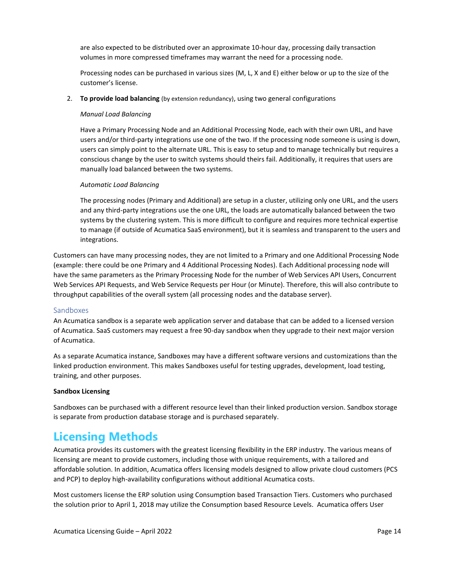are also expected to be distributed over an approximate 10-hour day, processing daily transaction volumes in more compressed timeframes may warrant the need for a processing node.

Processing nodes can be purchased in various sizes (M, L, X and E) either below or up to the size of the customer's license.

2. **To provide load balancing** (by extension redundancy), using two general configurations

#### *Manual Load Balancing*

Have a Primary Processing Node and an Additional Processing Node, each with their own URL, and have users and/or third-party integrations use one of the two. If the processing node someone is using is down, users can simply point to the alternate URL. This is easy to setup and to manage technically but requires a conscious change by the user to switch systems should theirs fail. Additionally, it requires that users are manually load balanced between the two systems.

#### *Automatic Load Balancing*

The processing nodes (Primary and Additional) are setup in a cluster, utilizing only one URL, and the users and any third-party integrations use the one URL, the loads are automatically balanced between the two systems by the clustering system. This is more difficult to configure and requires more technical expertise to manage (if outside of Acumatica SaaS environment), but it is seamless and transparent to the users and integrations.

Customers can have many processing nodes, they are not limited to a Primary and one Additional Processing Node (example: there could be one Primary and 4 Additional Processing Nodes). Each Additional processing node will have the same parameters as the Primary Processing Node for the number of Web Services API Users, Concurrent Web Services API Requests, and Web Service Requests per Hour (or Minute). Therefore, this will also contribute to throughput capabilities of the overall system (all processing nodes and the database server).

#### Sandboxes

An Acumatica sandbox is a separate web application server and database that can be added to a licensed version of Acumatica. SaaS customers may request a free 90-day sandbox when they upgrade to their next major version of Acumatica.

As a separate Acumatica instance, Sandboxes may have a different software versions and customizations than the linked production environment. This makes Sandboxes useful for testing upgrades, development, load testing, training, and other purposes.

#### **Sandbox Licensing**

Sandboxes can be purchased with a different resource level than their linked production version. Sandbox storage is separate from production database storage and is purchased separately.

### <span id="page-13-0"></span>**Licensing Methods**

Acumatica provides its customers with the greatest licensing flexibility in the ERP industry. The various means of licensing are meant to provide customers, including those with unique requirements, with a tailored and affordable solution. In addition, Acumatica offers licensing models designed to allow private cloud customers (PCS and PCP) to deploy high-availability configurations without additional Acumatica costs.

Most customers license the ERP solution using Consumption based Transaction Tiers. Customers who purchased the solution prior to April 1, 2018 may utilize the Consumption based Resource Levels. Acumatica offers User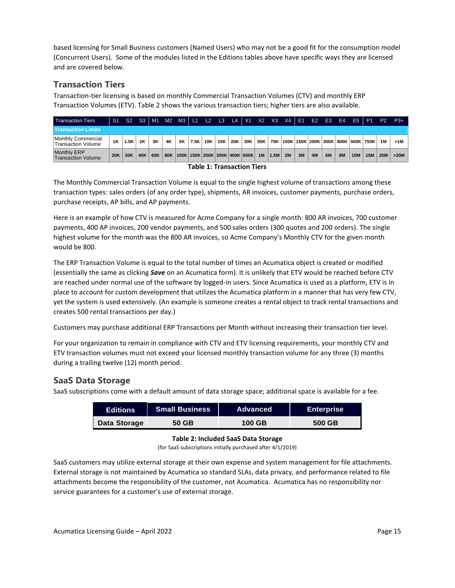based licensing for Small Business customers (Named Users) who may not be a good fit for the consumption model (Concurrent Users). Some of the modules listed in the Editions tables above have specific ways they are licensed and are covered below.

#### <span id="page-14-0"></span>**Transaction Tiers**

Transaction-tier licensing is based on monthly Commercial Transaction Volumes (CTV) and monthly ERP Transaction Volumes (ETV). Table 2 shows the various transaction tiers; higher tiers are also available.

| <b>Transaction Tiers</b>                        |     |      |           |     |     |           |      |     |     |     |                                         |     |      |    |    | S1 S2 S3   M1 M2 M3   L1 L2 L3 L4   X1 X2 X3 X4   E1 E2 E3 |    |           |                    |            |            | E4 E5 P1 P2 P3+ |
|-------------------------------------------------|-----|------|-----------|-----|-----|-----------|------|-----|-----|-----|-----------------------------------------|-----|------|----|----|------------------------------------------------------------|----|-----------|--------------------|------------|------------|-----------------|
| <b>Transaction Limits</b>                       |     |      |           |     |     |           |      |     |     |     |                                         |     |      |    |    |                                                            |    |           |                    |            |            |                 |
| Monthly Commercial<br><b>Transaction Volume</b> | 1K  | 1.5K | <b>2K</b> | 3Κ  | 4K  | <b>5K</b> | 7.5K | 10K | 15K | 20K | 30K                                     | 50K |      |    |    | 75K   100K   150K   200K   300K                            |    |           | 400K   500K   750K |            | 1M         | >1M             |
| <b>Monthly ERP</b><br><b>Transaction Volume</b> | 20K | 30K  | 40K       | 60K | 80K |           |      |     |     |     | 100K   150K   200K   300K   400K   600K | 1M  | 1.5M | 2M | 3M | <b>4M</b>                                                  | 6M | <b>8M</b> | <b>10M</b>         | <b>15M</b> | <b>20M</b> | >20M            |

#### **Table 1: Transaction Tiers**

The Monthly Commercial Transaction Volume is equal to the single highest volume of transactions among these transaction types: sales orders (of any order type), shipments, AR invoices, customer payments, purchase orders, purchase receipts, AP bills, and AP payments.

Here is an example of how CTV is measured for Acme Company for a single month: 800 AR invoices, 700 customer payments, 400 AP invoices, 200 vendor payments, and 500 sales orders (300 quotes and 200 orders). The single highest volume for the month was the 800 AR invoices, so Acme Company's Monthly CTV for the given month would be 800.

The ERP Transaction Volume is equal to the total number of times an Acumatica object is created or modified (essentially the same as clicking *Save* on an Acumatica form). It is unlikely that ETV would be reached before CTV are reached under normal use of the software by logged-in users. Since Acumatica is used as a platform, ETV is in place to account for custom development that utilizes the Acumatica platform in a manner that has very few CTV, yet the system is used extensively. (An example is someone creates a rental object to track rental transactions and creates 500 rental transactions per day.)

Customers may purchase additional ERP Transactions per Month without increasing their transaction tier level.

For your organization to remain in compliance with CTV and ETV licensing requirements, your monthly CTV and ETV transaction volumes must not exceed your licensed monthly transaction volume for any three (3) months during a trailing twelve (12) month period.

#### <span id="page-14-1"></span>**SaaS Data Storage**

SaaS subscriptions come with a default amount of data storage space; additional space is available for a fee.

| <b>Editions</b> | <b>Small Business</b> | <b>Advanced</b> | <b>Enterprise</b> |
|-----------------|-----------------------|-----------------|-------------------|
| Data Storage    | 50 GB                 | <b>100 GB</b>   | 500 GB            |

#### **Table 2: Included SaaS Data Storage**

(for SaaS subscriptions initially purchased after 4/1/2019)

SaaS customers may utilize external storage at their own expense and system management for file attachments. External storage is not maintained by Acumatica so standard SLAs, data privacy, and performance related to file attachments become the responsibility of the customer, not Acumatica. Acumatica has no responsibility nor service guarantees for a customer's use of external storage.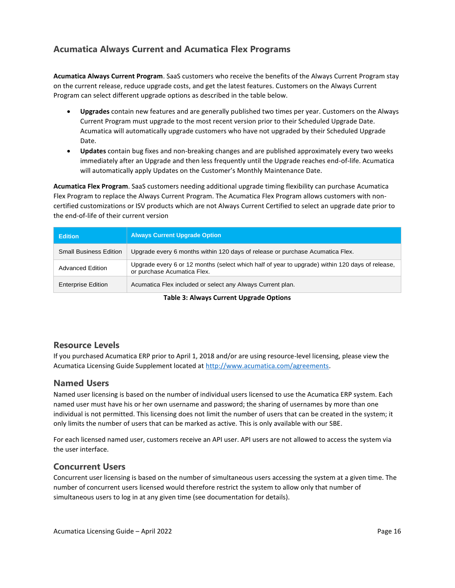#### <span id="page-15-0"></span>**Acumatica Always Current and Acumatica Flex Programs**

**Acumatica Always Current Program**. SaaS customers who receive the benefits of the Always Current Program stay on the current release, reduce upgrade costs, and get the latest features. Customers on the Always Current Program can select different upgrade options as described in the table below.

- **Upgrades** contain new features and are generally published two times per year. Customers on the Always Current Program must upgrade to the most recent version prior to their Scheduled Upgrade Date. Acumatica will automatically upgrade customers who have not upgraded by their Scheduled Upgrade Date.
- **Updates** contain bug fixes and non-breaking changes and are published approximately every two weeks immediately after an Upgrade and then less frequently until the Upgrade reaches end-of-life. Acumatica will automatically apply Updates on the Customer's Monthly Maintenance Date.

**Acumatica Flex Program**. SaaS customers needing additional upgrade timing flexibility can purchase Acumatica Flex Program to replace the Always Current Program. The Acumatica Flex Program allows customers with noncertified customizations or ISV products which are not Always Current Certified to select an upgrade date prior to the end-of-life of their current version

| <b>Edition</b>                | <b>Always Current Upgrade Option</b>                                                                                           |
|-------------------------------|--------------------------------------------------------------------------------------------------------------------------------|
| <b>Small Business Edition</b> | Upgrade every 6 months within 120 days of release or purchase Acumatica Flex.                                                  |
| <b>Advanced Edition</b>       | Upgrade every 6 or 12 months (select which half of year to upgrade) within 120 days of release,<br>or purchase Acumatica Flex. |
| <b>Enterprise Edition</b>     | Acumatica Flex included or select any Always Current plan.                                                                     |

**Table 3: Always Current Upgrade Options**

#### <span id="page-15-1"></span>**Resource Levels**

If you purchased Acumatica ERP prior to April 1, 2018 and/or are using resource-level licensing, please view the Acumatica Licensing Guide Supplement located at [http://www.acumatica.com/agreements.](http://www.acumatica.com/agreements)

#### <span id="page-15-2"></span>**Named Users**

Named user licensing is based on the number of individual users licensed to use the Acumatica ERP system. Each named user must have his or her own username and password; the sharing of usernames by more than one individual is not permitted. This licensing does not limit the number of users that can be created in the system; it only limits the number of users that can be marked as active. This is only available with our SBE.

For each licensed named user, customers receive an API user. API users are not allowed to access the system via the user interface.

#### <span id="page-15-3"></span>**Concurrent Users**

Concurrent user licensing is based on the number of simultaneous users accessing the system at a given time. The number of concurrent users licensed would therefore restrict the system to allow only that number of simultaneous users to log in at any given time (see documentation for details).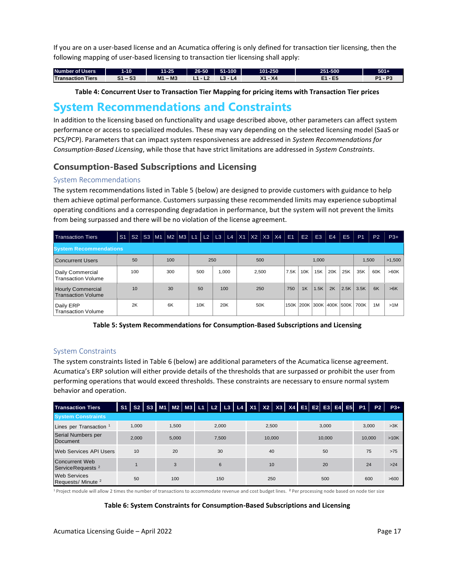If you are on a user-based license and an Acumatica offering is only defined for transaction tier licensing, then the following mapping of user-based licensing to transaction tier licensing shall apply:

| <b>Number of Users</b> | $-10.$              | $11 - 25$  | 26-50 | 51-100 | 101-250 | 251-500 | $501 +$ |
|------------------------|---------------------|------------|-------|--------|---------|---------|---------|
|                        |                     |            |       |        |         |         |         |
| Transaction<br>Tiers   | $\sim$<br>. .<br>აა | – M3<br>M1 |       |        | Χ4      | ъ       | n.      |

**Table 4: Concurrent User to Transaction Tier Mapping for pricing items with Transaction Tier prices**

### <span id="page-16-0"></span>**System Recommendations and Constraints**

In addition to the licensing based on functionality and usage described above, other parameters can affect system performance or access to specialized modules. These may vary depending on the selected licensing model (SaaS or PCS/PCP). Parameters that can impact system responsiveness are addressed in *System Recommendations for Consumption-Based Licensing*, while those that have strict limitations are addressed in *System Constraints*.

#### <span id="page-16-1"></span>**Consumption-Based Subscriptions and Licensing**

#### System Recommendations

The system recommendations listed in Table 5 (below) are designed to provide customers with guidance to help them achieve optimal performance. Customers surpassing these recommended limits may experience suboptimal operating conditions and a corresponding degradation in performance, but the system will not prevent the limits from being surpassed and there will be no violation of the license agreement.

| <b>Transaction Tiers</b>                              | S <sub>1</sub> |     |  |  |     |  |     |     | S2 S3 M1 M2 M3 L1 L2 L3 L4 X1 X2 X3 X4 |  |  |       |     |  | E1   | E2  | E <sub>3</sub> | E4  | E <sub>5</sub>           | P <sub>1</sub> | P <sub>2</sub> | $P3+$  |
|-------------------------------------------------------|----------------|-----|--|--|-----|--|-----|-----|----------------------------------------|--|--|-------|-----|--|------|-----|----------------|-----|--------------------------|----------------|----------------|--------|
| <b>System Recommendations</b>                         |                |     |  |  |     |  |     |     |                                        |  |  |       |     |  |      |     |                |     |                          |                |                |        |
| Concurrent Users                                      |                | 50  |  |  | 100 |  |     | 250 |                                        |  |  | 500   |     |  |      |     | 1.000          |     |                          | 1,500          |                | >1.500 |
| Daily Commercial<br><b>Transaction Volume</b>         |                | 100 |  |  | 300 |  | 500 |     | 1,000                                  |  |  | 2,500 |     |  | 7.5K | 10K | 15K            | 20K | 25K                      | 35K            | 60K            | >60K   |
| <b>Hourly Commercial</b><br><b>Transaction Volume</b> |                | 10  |  |  | 30  |  | 50  |     | 100                                    |  |  | 250   |     |  | 750  | 1K  | 1.5K           | 2K  | 2.5K                     | 3.5K           | 6K             | >6K    |
| Daily ERP<br><b>Transaction Volume</b>                |                | 2K  |  |  | 6K  |  | 10K |     | 20K                                    |  |  |       | 50K |  |      |     |                |     | 150K 200K 300K 400K 500K | 700K           | 1M             | >1M    |

**Table 5: System Recommendations for Consumption-Based Subscriptions and Licensing**

#### System Constraints

The system constraints listed in Table 6 (below) are additional parameters of the Acumatica license agreement. Acumatica's ERP solution will either provide details of the thresholds that are surpassed or prohibit the user from performing operations that would exceed thresholds. These constraints are necessary to ensure normal system behavior and operation.

| <b>Transaction Tiers</b>                             | <b>S1</b> |                |  |  |       |       |        |       |    | S2   S3   M1   M2   M3   L1   L2   L3   L4   X1   X2   X3   X4   E1   E2   E3   E4   E5 |        |  |    |    |  |        |  |      | <b>P1</b> | P <sub>2</sub> | $P3+$ |
|------------------------------------------------------|-----------|----------------|--|--|-------|-------|--------|-------|----|-----------------------------------------------------------------------------------------|--------|--|----|----|--|--------|--|------|-----------|----------------|-------|
| <b>System Constraints</b>                            |           |                |  |  |       |       |        |       |    |                                                                                         |        |  |    |    |  |        |  |      |           |                |       |
| Lines per Transaction <sup>1</sup>                   |           | 1.000          |  |  | 1.500 |       |        | 2.000 |    |                                                                                         | 2,500  |  |    |    |  | 3.000  |  |      | 3.000     |                | >3K   |
| Serial Numbers per<br>Document                       |           | 2.000<br>5.000 |  |  |       | 7.500 | 10,000 |       |    |                                                                                         | 10.000 |  |    |    |  | 10.000 |  | >10K |           |                |       |
| <b>Web Services API Users</b>                        |           | 10<br>20       |  |  |       |       | 30     |       | 40 |                                                                                         |        |  | 50 |    |  |        |  | 75   |           | >75            |       |
| Concurrent Web<br>ServiceRequests <sup>2</sup>       |           |                |  |  | 3     |       |        | 6     |    | 10                                                                                      |        |  |    | 20 |  |        |  |      | 24        |                | $>24$ |
| <b>Web Services</b><br>Requests/ Minute <sup>2</sup> |           | 50             |  |  | 100   |       |        | 150   |    |                                                                                         | 250    |  |    |    |  | 500    |  |      | 600       |                | >600  |

<sup>1</sup> Project module will allow 2 times the number of transactions to accommodate revenue and cost budget lines. <sup>2</sup> Per processing node based on node tier size

**Table 6: System Constraints for Consumption-Based Subscriptions and Licensing**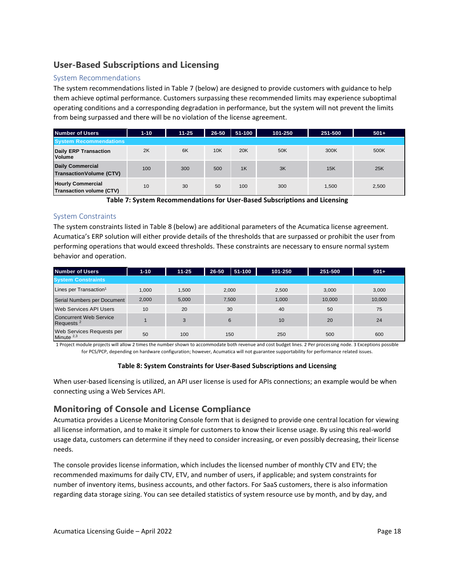#### <span id="page-17-0"></span>**User-Based Subscriptions and Licensing**

#### System Recommendations

The system recommendations listed in Table 7 (below) are designed to provide customers with guidance to help them achieve optimal performance. Customers surpassing these recommended limits may experience suboptimal operating conditions and a corresponding degradation in performance, but the system will not prevent the limits from being surpassed and there will be no violation of the license agreement.

| <b>Number of Users</b>                                     | $1 - 10$ | $11 - 25$ | 26-50 | $51 - 100$ | 101-250 | 251-500 | $501+$ |
|------------------------------------------------------------|----------|-----------|-------|------------|---------|---------|--------|
| <b>System Recommendations</b>                              |          |           |       |            |         |         |        |
| <b>Daily ERP Transaction</b><br><b>Volume</b>              | 2K       | 6K        | 10K   | 20K        | 50K     | 300K    | 500K   |
| <b>Daily Commercial</b><br><b>Transaction Volume (CTV)</b> | 100      | 300       | 500   | 1K         | 3K      | 15K     | 25K    |
| <b>Hourly Commercial</b><br>Transaction volume (CTV)       | 10       | 30        | 50    | 100        | 300     | 1.500   | 2,500  |

**Table 7: System Recommendations for User-Based Subscriptions and Licensing**

#### System Constraints

The system constraints listed in Table 8 (below) are additional parameters of the Acumatica license agreement. Acumatica's ERP solution will either provide details of the thresholds that are surpassed or prohibit the user from performing operations that would exceed thresholds. These constraints are necessary to ensure normal system behavior and operation.

| <b>Number of Users</b>                                 | $1 - 10$ | $11 - 25$ | 26-50 | $51 - 100$ | 101-250 | 251-500 | $501+$ |
|--------------------------------------------------------|----------|-----------|-------|------------|---------|---------|--------|
| <b>System Constraints</b>                              |          |           |       |            |         |         |        |
| Lines per Transaction <sup>1</sup>                     | 1.000    | 1.500     | 2.000 |            | 2.500   | 3.000   | 3.000  |
| Serial Numbers per Document                            | 2.000    | 5.000     | 7,500 |            | 1,000   | 10.000  | 10,000 |
| <b>Web Services API Users</b>                          | 10       | 20        | 30    |            | 40      | 50      | 75     |
| <b>Concurrent Web Service</b><br>Requests <sup>2</sup> |          | 3         | 6     |            | 10      | 20      | 24     |
| Web Services Requests per<br>Minute $2,3$              | 50       | 100       | 150   |            | 250     | 500     | 600    |

1 Project module projects will allow 2 times the number shown to accommodate both revenue and cost budget lines. 2 Per processing node. 3 Exceptions possible for PCS/PCP, depending on hardware configuration; however, Acumatica will not guarantee supportability for performance related issues.

#### **Table 8: System Constraints for User-Based Subscriptions and Licensing**

When user-based licensing is utilized, an API user license is used for APIs connections; an example would be when connecting using a Web Services API.

#### <span id="page-17-1"></span>**Monitoring of Console and License Compliance**

Acumatica provides a License Monitoring Console form that is designed to provide one central location for viewing all license information, and to make it simple for customers to know their license usage. By using this real-world usage data, customers can determine if they need to consider increasing, or even possibly decreasing, their license needs.

The console provides license information, which includes the licensed number of monthly CTV and ETV; the recommended maximums for daily CTV, ETV, and number of users, if applicable; and system constraints for number of inventory items, business accounts, and other factors. For SaaS customers, there is also information regarding data storage sizing. You can see detailed statistics of system resource use by month, and by day, and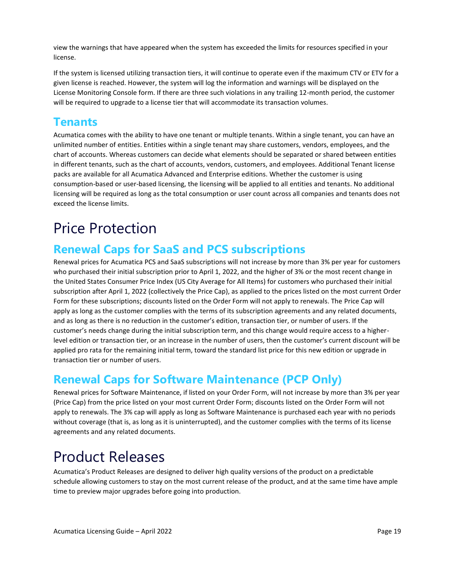view the warnings that have appeared when the system has exceeded the limits for resources specified in your license.

If the system is licensed utilizing transaction tiers, it will continue to operate even if the maximum CTV or ETV for a given license is reached. However, the system will log the information and warnings will be displayed on the License Monitoring Console form. If there are three such violations in any trailing 12-month period, the customer will be required to upgrade to a license tier that will accommodate its transaction volumes.

### <span id="page-18-0"></span>**Tenants**

Acumatica comes with the ability to have one tenant or multiple tenants. Within a single tenant, you can have an unlimited number of entities. Entities within a single tenant may share customers, vendors, employees, and the chart of accounts. Whereas customers can decide what elements should be separated or shared between entities in different tenants, such as the chart of accounts, vendors, customers, and employees. Additional Tenant license packs are available for all Acumatica Advanced and Enterprise editions. Whether the customer is using consumption-based or user-based licensing, the licensing will be applied to all entities and tenants. No additional licensing will be required as long as the total consumption or user count across all companies and tenants does not exceed the license limits.

## <span id="page-18-1"></span>Price Protection

### <span id="page-18-2"></span>**Renewal Caps for SaaS and PCS subscriptions**

Renewal prices for Acumatica PCS and SaaS subscriptions will not increase by more than 3% per year for customers who purchased their initial subscription prior to April 1, 2022, and the higher of 3% or the most recent change in the United States Consumer Price Index (US City Average for All Items) for customers who purchased their initial subscription after April 1, 2022 (collectively the Price Cap), as applied to the prices listed on the most current Order Form for these subscriptions; discounts listed on the Order Form will not apply to renewals. The Price Cap will apply as long as the customer complies with the terms of its subscription agreements and any related documents, and as long as there is no reduction in the customer's edition, transaction tier, or number of users. If the customer's needs change during the initial subscription term, and this change would require access to a higherlevel edition or transaction tier, or an increase in the number of users, then the customer's current discount will be applied pro rata for the remaining initial term, toward the standard list price for this new edition or upgrade in transaction tier or number of users.

### <span id="page-18-3"></span>**Renewal Caps for Software Maintenance (PCP Only)**

Renewal prices for Software Maintenance, if listed on your Order Form, will not increase by more than 3% per year (Price Cap) from the price listed on your most current Order Form; discounts listed on the Order Form will not apply to renewals. The 3% cap will apply as long as Software Maintenance is purchased each year with no periods without coverage (that is, as long as it is uninterrupted), and the customer complies with the terms of its license agreements and any related documents.

## <span id="page-18-4"></span>Product Releases

Acumatica's Product Releases are designed to deliver high quality versions of the product on a predictable schedule allowing customers to stay on the most current release of the product, and at the same time have ample time to preview major upgrades before going into production.